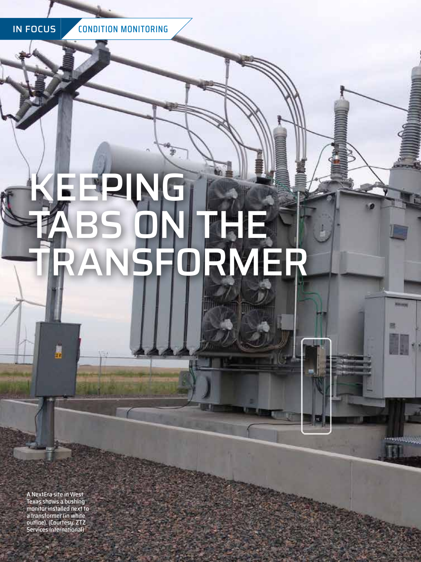IN FOCUS CONDITION MONITORING

# KEEPING TABS ON THE TRANSFORMER

塑

**TRUMS** 

A NextEra site in West Texas shows a bushing monitor installed next to a transformer (in white outline). (Courtesy: ZTZ Services International)

E

**16** JUNE 2022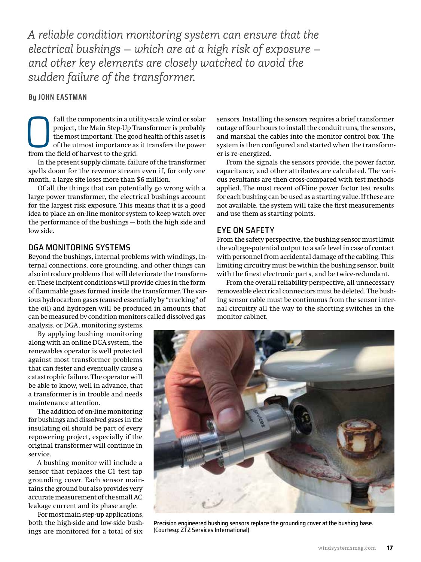*A reliable condition monitoring system can ensure that the electrical bushings – which are at a high risk of exposure – and other key elements are closely watched to avoid the sudden failure of the transformer.*

## **By JOHN EASTMAN**

**Consequent** in a utility-scale wind or solar project, the Main Step-Up Transformer is probably the most important. The good health of this asset is of the utmost importance as it transfers the power from the field of harv project, the Main Step-Up Transformer is probably the most important. The good health of this asset is of the utmost importance as it transfers the power from the field of harvest to the grid.

In the present supply climate, failure of the transformer spells doom for the revenue stream even if, for only one month, a large site loses more than \$6 million.

Of all the things that can potentially go wrong with a large power transformer, the electrical bushings account for the largest risk exposure. This means that it is a good idea to place an on-line monitor system to keep watch over the performance of the bushings — both the high side and low side.

## DGA MONITORING SYSTEMS

Beyond the bushings, internal problems with windings, internal connections, core grounding, and other things can also introduce problems that will deteriorate the transformer. These incipient conditions will provide clues in the form of flammable gases formed inside the transformer. The various hydrocarbon gases (caused essentially by "cracking" of the oil) and hydrogen will be produced in amounts that can be measured by condition monitors called dissolved gas analysis, or DGA, monitoring systems.

By applying bushing monitoring along with an online DGA system, the

renewables operator is well protected against most transformer problems that can fester and eventually cause a catastrophic failure. The operator will be able to know, well in advance, that a transformer is in trouble and needs maintenance attention.

The addition of on-line monitoring for bushings and dissolved gases in the insulating oil should be part of every repowering project, especially if the original transformer will continue in service.

A bushing monitor will include a sensor that replaces the C1 test tap grounding cover. Each sensor maintains the ground but also provides very accurate measurement of the small AC leakage current and its phase angle.

For most main step-up applications, both the high-side and low-side bushings are monitored for a total of six

sensors. Installing the sensors requires a brief transformer outage of four hours to install the conduit runs, the sensors, and marshal the cables into the monitor control box. The system is then configured and started when the transformer is re-energized.

From the signals the sensors provide, the power factor, capacitance, and other attributes are calculated. The various resultants are then cross-compared with test methods applied. The most recent off-line power factor test results for each bushing can be used as a starting value. If these are not available, the system will take the first measurements and use them as starting points.

# EYE ON SAFETY

From the safety perspective, the bushing sensor must limit the voltage-potential output to a safe level in case of contact with personnel from accidental damage of the cabling. This limiting circuitry must be within the bushing sensor, built with the finest electronic parts, and be twice-redundant.

From the overall reliability perspective, all unnecessary removeable electrical connectors must be deleted. The bushing sensor cable must be continuous from the sensor internal circuitry all the way to the shorting switches in the monitor cabinet.



Precision engineered bushing sensors replace the grounding cover at the bushing base. (Courtesy: ZTZ Services International)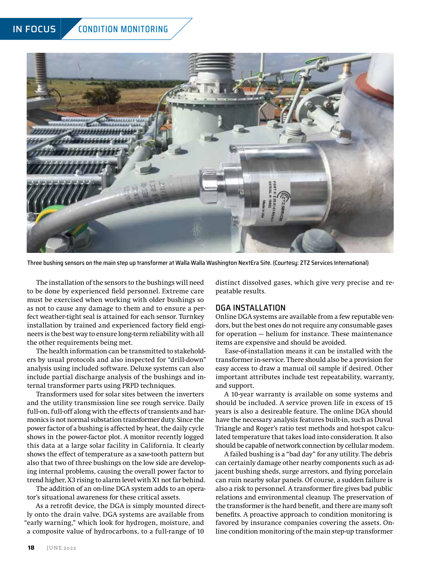# IN FOCUS CONDITION MONITORING



Three bushing sensors on the main step up transformer at Walla Walla Washington NextEra Site. (Courtesy: ZTZ Services International)

The installation of the sensors to the bushings will need to be done by experienced field personnel. Extreme care must be exercised when working with older bushings so as not to cause any damage to them and to ensure a perfect weather-tight seal is attained for each sensor. Turnkey installation by trained and experienced factory field engineers is the best way to ensure long-term reliability with all the other requirements being met.

The health information can be transmitted to stakeholders by usual protocols and also inspected for "drill-down" analysis using included software. Deluxe systems can also include partial discharge analysis of the bushings and internal transformer parts using PRPD techniques.

Transformers used for solar sites between the inverters and the utility transmission line see rough service. Daily full-on, full-off along with the effects of transients and harmonics is not normal substation transformer duty. Since the power factor of a bushing is affected by heat, the daily cycle shows in the power-factor plot. A monitor recently logged this data at a large solar facility in California. It clearly shows the effect of temperature as a saw-tooth pattern but also that two of three bushings on the low side are developing internal problems, causing the overall power factor to trend higher, X3 rising to alarm level with X1 not far behind.

The addition of an on-line DGA system adds to an operator's situational awareness for these critical assets.

As a retrofit device, the DGA is simply mounted directly onto the drain valve. DGA systems are available from "early warning," which look for hydrogen, moisture, and a composite value of hydrocarbons, to a full-range of 10

distinct dissolved gases, which give very precise and repeatable results.

## DGA INSTALLATION

Online DGA systems are available from a few reputable vendors, but the best ones do not require any consumable gases for operation — helium for instance. These maintenance items are expensive and should be avoided.

Ease-of-installation means it can be installed with the transformer in-service. There should also be a provision for easy access to draw a manual oil sample if desired. Other important attributes include test repeatability, warranty, and support.

A 10-year warranty is available on some systems and should be included. A service proven life in excess of 15 years is also a desireable feature. The online DGA should have the necessary analysis features built-in, such as Duval Triangle and Roger's ratio test methods and hot-spot calculated temperature that takes load into consideration. It also should be capable of network connection by cellular modem.

A failed bushing is a "bad day" for any utility. The debris can certainly damage other nearby components such as adjacent bushing sheds, surge arrestors, and flying porcelain can ruin nearby solar panels. Of course, a sudden failure is also a risk to personnel. A transformer fire gives bad public relations and environmental cleanup. The preservation of the transformer is the hard benefit, and there are many soft benefits. A proactive approach to condition monitoring is favored by insurance companies covering the assets. Online condition monitoring of the main step-up transformer